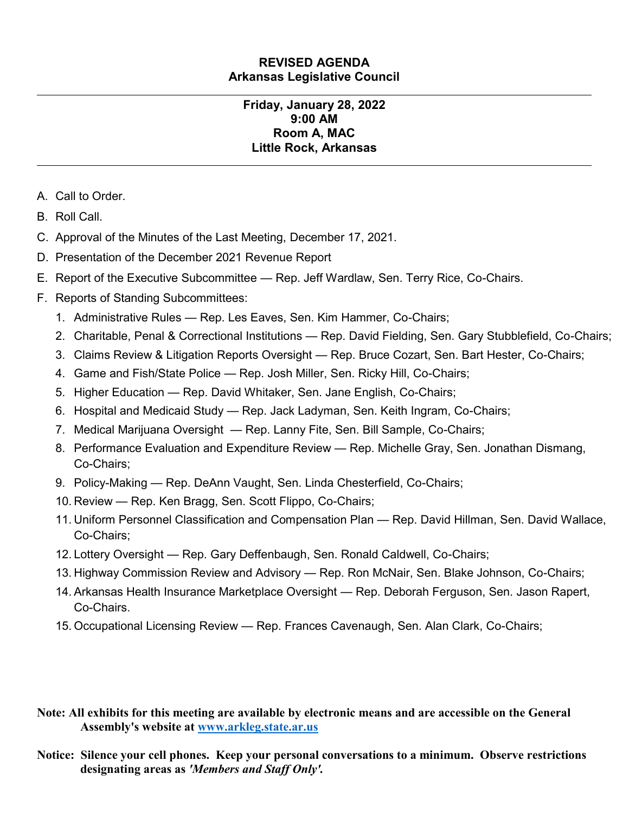### **REVISED AGENDA Arkansas Legislative Council**

#### **Friday, January 28, 2022 9:00 AM Room A, MAC Little Rock, Arkansas**

- A. Call to Order.
- B. Roll Call.
- C. Approval of the Minutes of the Last Meeting, December 17, 2021.
- D. Presentation of the December 2021 Revenue Report
- E. Report of the Executive Subcommittee Rep. Jeff Wardlaw, Sen. Terry Rice, Co-Chairs.
- F. Reports of Standing Subcommittees:
	- 1. Administrative Rules Rep. Les Eaves, Sen. Kim Hammer, Co-Chairs;
	- 2. Charitable, Penal & Correctional Institutions Rep. David Fielding, Sen. Gary Stubblefield, Co-Chairs;
	- 3. Claims Review & Litigation Reports Oversight Rep. Bruce Cozart, Sen. Bart Hester, Co-Chairs;
	- 4. Game and Fish/State Police Rep. Josh Miller, Sen. Ricky Hill, Co-Chairs;
	- 5. Higher Education Rep. David Whitaker, Sen. Jane English, Co-Chairs;
	- 6. Hospital and Medicaid Study Rep. Jack Ladyman, Sen. Keith Ingram, Co-Chairs;
	- 7. Medical Marijuana Oversight Rep. Lanny Fite, Sen. Bill Sample, Co-Chairs;
	- 8. Performance Evaluation and Expenditure Review Rep. Michelle Gray, Sen. Jonathan Dismang, Co-Chairs;
	- 9. Policy-Making Rep. DeAnn Vaught, Sen. Linda Chesterfield, Co-Chairs;
	- 10. Review Rep. Ken Bragg, Sen. Scott Flippo, Co-Chairs;
	- 11. Uniform Personnel Classification and Compensation Plan Rep. David Hillman, Sen. David Wallace, Co-Chairs;
	- 12. Lottery Oversight Rep. Gary Deffenbaugh, Sen. Ronald Caldwell, Co-Chairs;
	- 13. Highway Commission Review and Advisory Rep. Ron McNair, Sen. Blake Johnson, Co-Chairs;
	- 14. Arkansas Health Insurance Marketplace Oversight Rep. Deborah Ferguson, Sen. Jason Rapert, Co-Chairs.
	- 15. Occupational Licensing Review Rep. Frances Cavenaugh, Sen. Alan Clark, Co-Chairs;

#### **Note: All exhibits for this meeting are available by electronic means and are accessible on the General Assembly's website at [www.arkleg.state.ar.us](http://www.arkleg.state.ar.us)**

**Notice: Silence your cell phones. Keep your personal conversations to a minimum. Observe restrictions designating areas as** *'Members and Staff Only'.*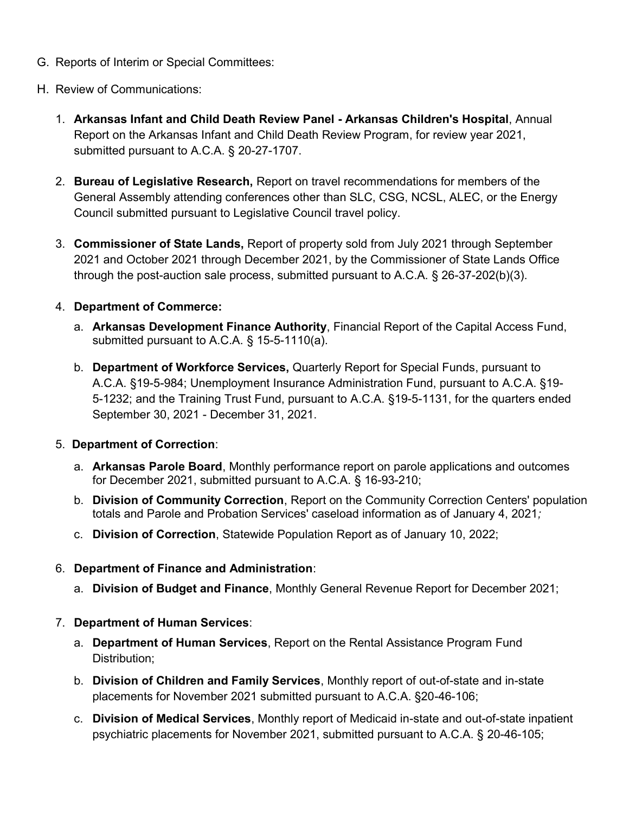- G. Reports of Interim or Special Committees:
- H. Review of Communications:
	- 1. **Arkansas Infant and Child Death Review Panel - Arkansas Children's Hospital**, Annual Report on the Arkansas Infant and Child Death Review Program, for review year 2021, submitted pursuant to A.C.A. § 20-27-1707.
	- 2. **Bureau of Legislative Research,** Report on travel recommendations for members of the General Assembly attending conferences other than SLC, CSG, NCSL, ALEC, or the Energy Council submitted pursuant to Legislative Council travel policy.
	- 3. **Commissioner of State Lands,** Report of property sold from July 2021 through September 2021 and October 2021 through December 2021, by the Commissioner of State Lands Office through the post-auction sale process, submitted pursuant to A.C.A. § 26-37-202(b)(3).

## 4. **Department of Commerce:**

- a. **Arkansas Development Finance Authority**, Financial Report of the Capital Access Fund, submitted pursuant to A.C.A. § 15-5-1110(a).
- b. **Department of Workforce Services,** Quarterly Report for Special Funds, pursuant to A.C.A. §19-5-984; Unemployment Insurance Administration Fund, pursuant to A.C.A. §19- 5-1232; and the Training Trust Fund, pursuant to A.C.A. §19-5-1131, for the quarters ended September 30, 2021 - December 31, 2021.

### 5. **Department of Correction**:

- a. **Arkansas Parole Board**, Monthly performance report on parole applications and outcomes for December 2021, submitted pursuant to A.C.A. § 16-93-210;
- b. **Division of Community Correction**, Report on the Community Correction Centers' population totals and Parole and Probation Services' caseload information as of January 4, 2021*;*
- c. **Division of Correction**, Statewide Population Report as of January 10, 2022;

# 6. **Department of Finance and Administration**:

a. **Division of Budget and Finance**, Monthly General Revenue Report for December 2021;

### 7. **Department of Human Services**:

- a. **Department of Human Services**, Report on the Rental Assistance Program Fund Distribution;
- b. **Division of Children and Family Services**, Monthly report of out-of-state and in-state placements for November 2021 submitted pursuant to A.C.A. §20-46-106;
- c. **Division of Medical Services**, Monthly report of Medicaid in-state and out-of-state inpatient psychiatric placements for November 2021, submitted pursuant to A.C.A. § 20-46-105;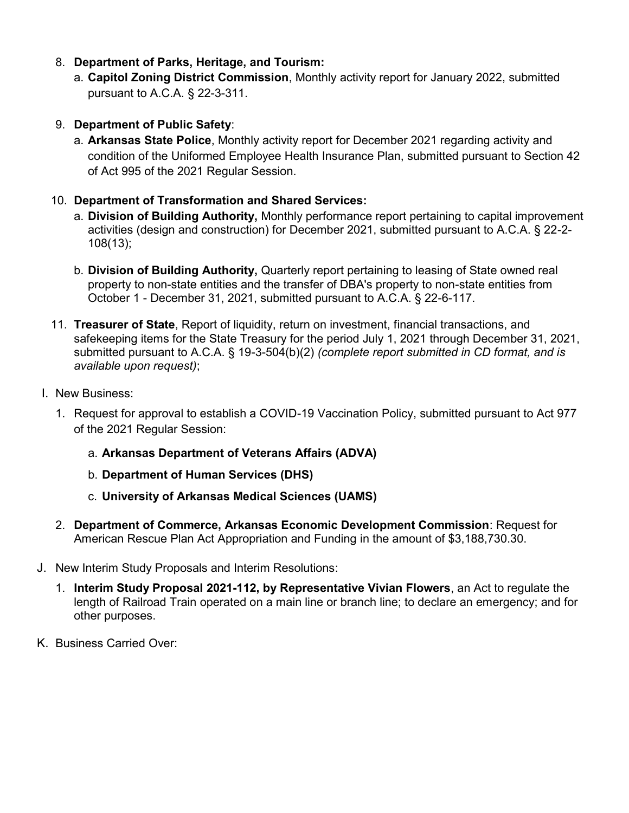- 8. **Department of Parks, Heritage, and Tourism:**
	- a. **Capitol Zoning District Commission**, Monthly activity report for January 2022, submitted pursuant to A.C.A. § 22-3-311.
- 9. **Department of Public Safety**:
	- a. **Arkansas State Police**, Monthly activity report for December 2021 regarding activity and condition of the Uniformed Employee Health Insurance Plan, submitted pursuant to Section 42 of Act 995 of the 2021 Regular Session.

## 10. **Department of Transformation and Shared Services:**

- a. **Division of Building Authority,** Monthly performance report pertaining to capital improvement activities (design and construction) for December 2021, submitted pursuant to A.C.A. § 22-2- 108(13);
- b. **Division of Building Authority,** Quarterly report pertaining to leasing of State owned real property to non-state entities and the transfer of DBA's property to non-state entities from October 1 - December 31, 2021, submitted pursuant to A.C.A. § 22-6-117.
- 11. **Treasurer of State**, Report of liquidity, return on investment, financial transactions, and safekeeping items for the State Treasury for the period July 1, 2021 through December 31, 2021, submitted pursuant to A.C.A. § 19-3-504(b)(2) *(complete report submitted in CD format, and is available upon request)*;
- I. New Business:
	- 1. Request for approval to establish a COVID-19 Vaccination Policy, submitted pursuant to Act 977 of the 2021 Regular Session:
		- a. **Arkansas Department of Veterans Affairs (ADVA)**
		- b. **Department of Human Services (DHS)**
		- c. **University of Arkansas Medical Sciences (UAMS)**
	- 2. **Department of Commerce, Arkansas Economic Development Commission**: Request for American Rescue Plan Act Appropriation and Funding in the amount of \$3,188,730.30.
- J. New Interim Study Proposals and Interim Resolutions:
	- 1. **Interim Study Proposal 2021-112, by Representative Vivian Flowers**, an Act to regulate the length of Railroad Train operated on a main line or branch line; to declare an emergency; and for other purposes.
- K. Business Carried Over: